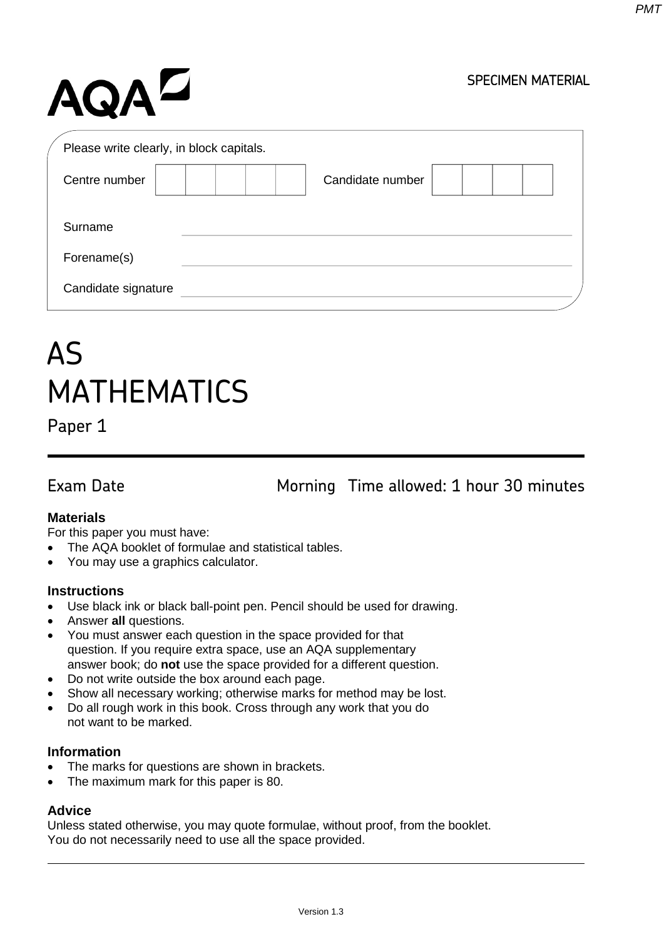# AQAZ

#### SPECIMEN MATERIAL

| Please write clearly, in block capitals. |                  |
|------------------------------------------|------------------|
| Centre number                            | Candidate number |
| Surname                                  |                  |
|                                          |                  |
| Forename(s)                              |                  |
| Candidate signature                      |                  |

## AS MATHEMATICS

Paper 1

Exam Date Morning Time allowed: 1 hour 30 minutes

#### **Materials**

For this paper you must have:

- The AQA booklet of formulae and statistical tables.
- You may use a graphics calculator.

#### **Instructions**

- Use black ink or black ball-point pen. Pencil should be used for drawing.
- Answer **all** questions.
- You must answer each question in the space provided for that question. If you require extra space, use an AQA supplementary answer book; do **not** use the space provided for a different question.
- Do not write outside the box around each page.
- Show all necessary working; otherwise marks for method may be lost.
- Do all rough work in this book. Cross through any work that you do not want to be marked.

#### **Information**

- The marks for questions are shown in brackets.
- The maximum mark for this paper is 80.

#### **Advice**

Unless stated otherwise, you may quote formulae, without proof, from the booklet. You do not necessarily need to use all the space provided.

*PMT*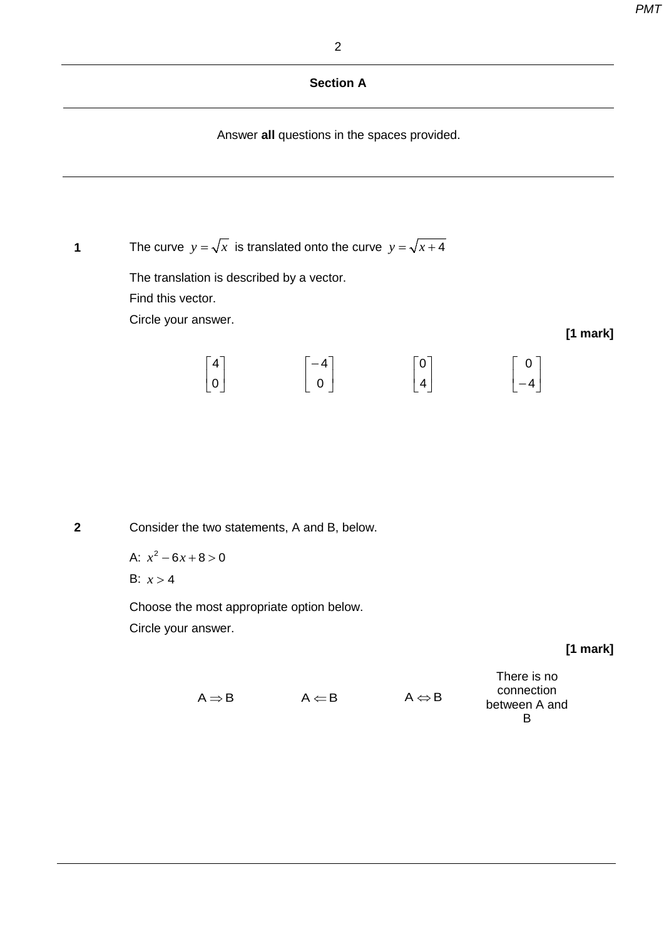#### **Section A**

Answer **all** questions in the spaces provided.

**1** The curve  $y = \sqrt{x}$  is translated onto the curve  $y = \sqrt{x+4}$ 

The translation is described by a vector. Find this vector. Circle your answer.

|                                        | $\lceil -4 \rceil$ | $\lceil 0 \rceil$ | $\lceil$ 0 $\rceil$ |
|----------------------------------------|--------------------|-------------------|---------------------|
| $\begin{bmatrix} 4 \\ 0 \end{bmatrix}$ | 0                  | 4                 | $-4$                |

 **2** Consider the two statements, A and B, below.

A:  $x^2 - 6x + 8 > 0$ B:  $x > 4$ 

Choose the most appropriate option below. Circle your answer.

**[1 mark]**

**[1 mark]**

|                                   |                       | There is no   |
|-----------------------------------|-----------------------|---------------|
| $\Lambda \Leftarrow$ $\mathsf{B}$ | $A \Leftrightarrow B$ | connection    |
|                                   |                       | between A and |
|                                   |                       |               |

| $A \Rightarrow B$ | $A \leftarrow I$ |
|-------------------|------------------|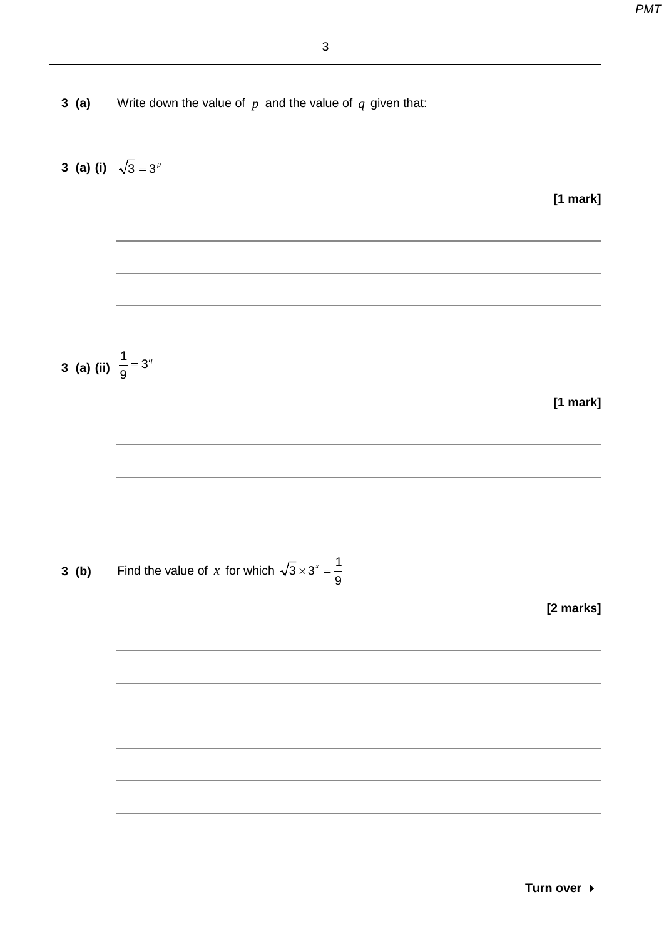**3 (a)** Write down the value of *p* and the value of *q* given that:

3 (a) (i) 
$$
\sqrt{3} = 3^y
$$
  
\n3 (a) (ii)  $\frac{1}{9} = 3^y$   
\n[1 mark]  
\n3 (b) Find the value of *x* for which  $\sqrt{3} \times 3^x = \frac{1}{9}$   
\n[2 marks]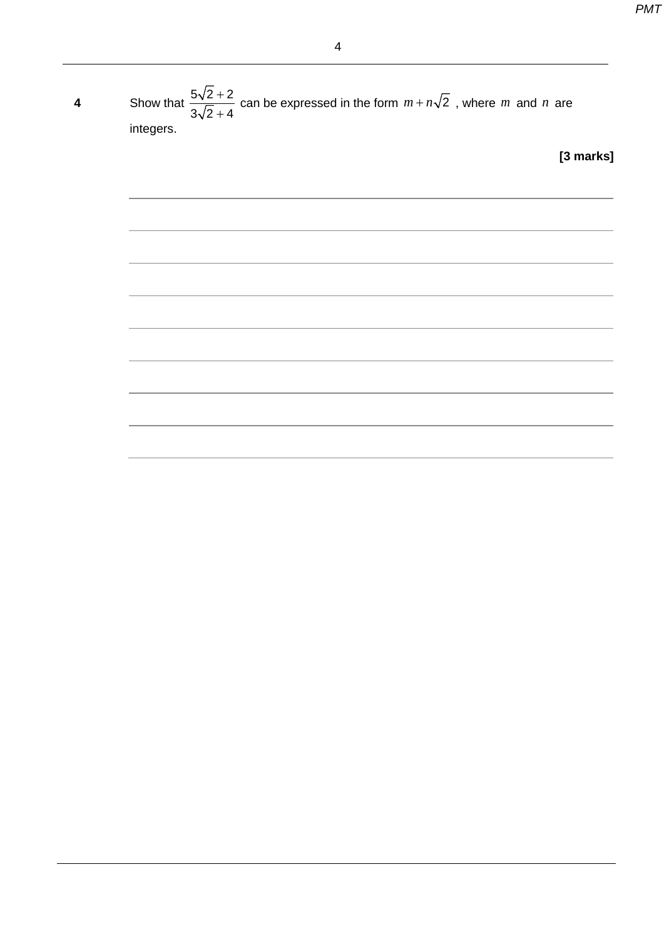**4** Show that  $\frac{5\sqrt{2}+1}{\sqrt{2}}$ +  $5\sqrt{2} + 2$  $3\sqrt{2} + 4$ can be expressed in the form  $m + n\sqrt{2}$ , where m and n are integers. **[3 marks]**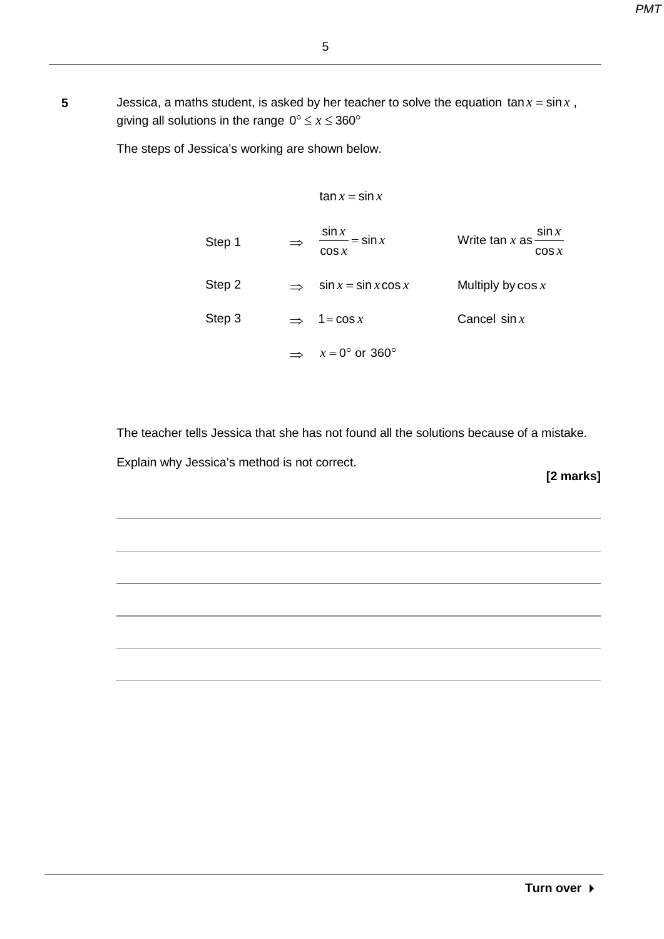**5** Jessica, a maths student, is asked by her teacher to solve the equation  $\tan x = \sin x$ , giving all solutions in the range  $0^\circ \leq x \leq 360^\circ$ 

The steps of Jessica's working are shown below.

$$
\tan x = \sin x
$$

|        | $\sin x$<br>$=$ sin $x$  | Write tan $x$ as -   | $\sin x$ |
|--------|--------------------------|----------------------|----------|
| Step 1 | $\cos x$                 |                      | $\cos x$ |
| Step 2 | $\sin x = \sin x \cos x$ | Multiply by $\cos x$ |          |
| Step 3 | $\Rightarrow$ 1=cos x    | Cancel $sin x$       |          |
|        | $x = 0^{\circ}$ or 360°  |                      |          |

The teacher tells Jessica that she has not found all the solutions because of a mistake.

Explain why Jessica's method is not correct.

**[2 marks]**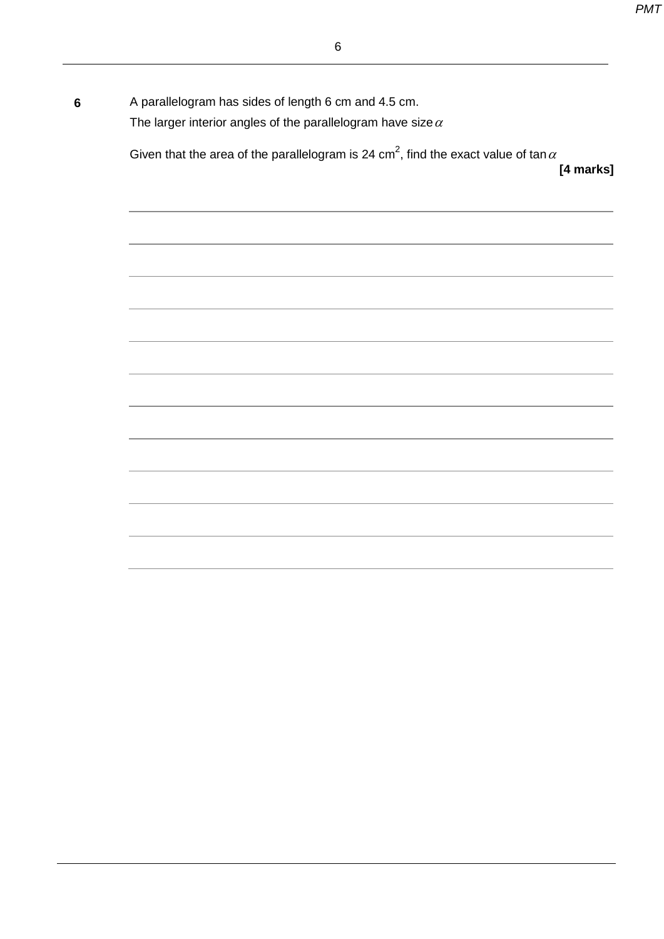| $6\phantom{1}6$ | A parallelogram has sides of length 6 cm and 4.5 cm.<br>The larger interior angles of the parallelogram have size $\alpha$ |
|-----------------|----------------------------------------------------------------------------------------------------------------------------|
|                 | Given that the area of the parallelogram is 24 cm <sup>2</sup> , find the exact value of tan $\alpha$<br>[4 marks]         |
|                 |                                                                                                                            |
|                 | ,我们也不能在这里的时候,我们也不能在这里的时候,我们也不能会在这里的时候,我们也不能会在这里的时候,我们也不能会在这里的时候,我们也不能会在这里的时候,我们也不                                          |
|                 |                                                                                                                            |
|                 |                                                                                                                            |
|                 |                                                                                                                            |
|                 |                                                                                                                            |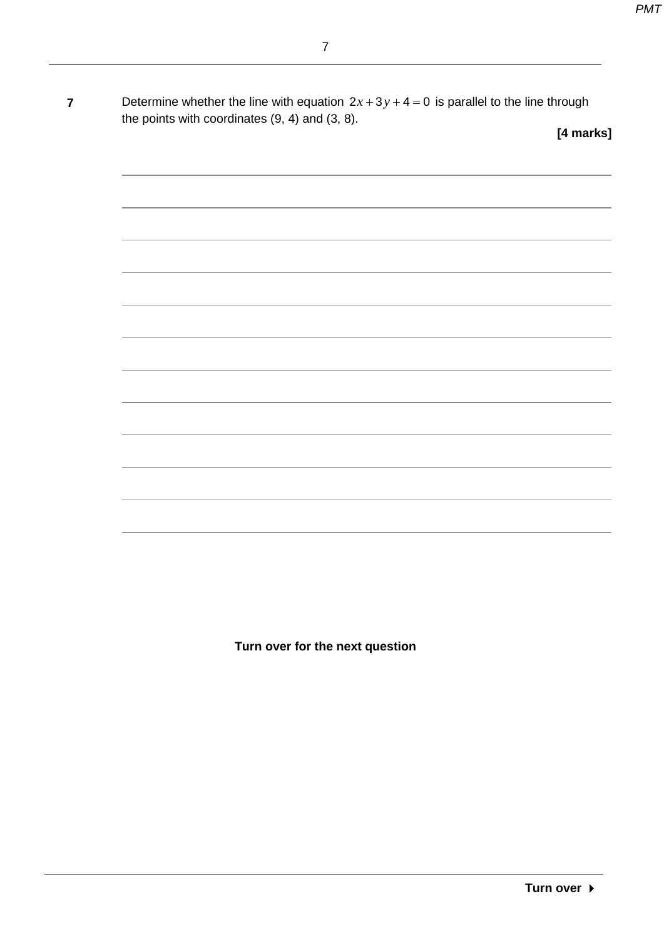**7** Determine whether the line with equation  $2x + 3y + 4 = 0$  is parallel to the line through the points with coordinates (9, 4) and (3, 8).

**[4 marks]**

**Turn over for the next question**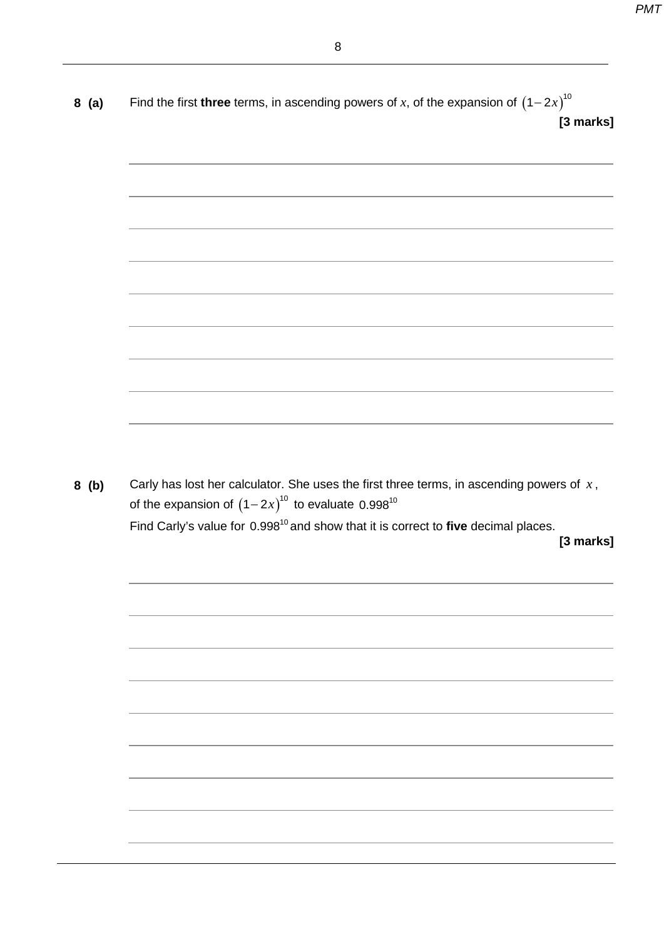| 8(a)    | Find the first <b>three</b> terms, in ascending powers of x, of the expansion of $(1-2x)^{10}$<br>[3 marks]                                                                      |
|---------|----------------------------------------------------------------------------------------------------------------------------------------------------------------------------------|
|         |                                                                                                                                                                                  |
|         |                                                                                                                                                                                  |
|         |                                                                                                                                                                                  |
|         |                                                                                                                                                                                  |
|         |                                                                                                                                                                                  |
|         |                                                                                                                                                                                  |
|         |                                                                                                                                                                                  |
|         |                                                                                                                                                                                  |
|         |                                                                                                                                                                                  |
| $8$ (b) |                                                                                                                                                                                  |
|         | Carly has lost her calculator. She uses the first three terms, in ascending powers of $x$ ,                                                                                      |
|         | of the expansion of $(1-2x)^{10}$ to evaluate 0.998 <sup>10</sup><br>Find Carly's value for 0.998 <sup>10</sup> and show that it is correct to five decimal places.<br>[3 marks] |
|         |                                                                                                                                                                                  |
|         |                                                                                                                                                                                  |
|         |                                                                                                                                                                                  |
|         |                                                                                                                                                                                  |
|         |                                                                                                                                                                                  |
|         |                                                                                                                                                                                  |
|         |                                                                                                                                                                                  |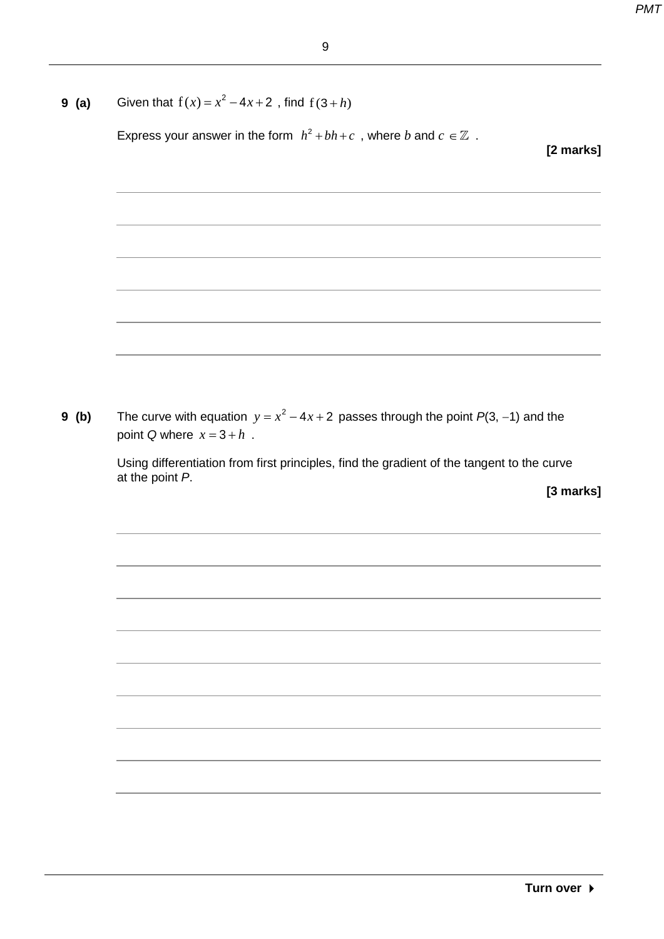|                             | Express your answer in the form $h^2 + bh + c$ , where b and $c \in \mathbb{Z}$ .          |           |
|-----------------------------|--------------------------------------------------------------------------------------------|-----------|
|                             |                                                                                            | [2 marks] |
|                             |                                                                                            |           |
|                             |                                                                                            |           |
|                             |                                                                                            |           |
|                             | ,我们也不能在这里的时候,我们也不能在这里的时候,我们也不能会在这里的时候,我们也不能会在这里的时候,我们也不能会在这里的时候,我们也不能会在这里的时候,我们也不          |           |
|                             |                                                                                            |           |
|                             |                                                                                            |           |
|                             | ,我们也不能在这里的时候,我们也不能在这里的时候,我们也不能会在这里的时候,我们也不能会在这里的时候,我们也不能会在这里的时候,我们也不能会在这里的时候,我们也           |           |
|                             |                                                                                            |           |
|                             | ,我们也不能在这里的时候,我们也不能在这里的时候,我们也不能会在这里的时候,我们也不能会在这里的时候,我们也不能会在这里的时候,我们也不能会在这里的时候,我们也           |           |
|                             |                                                                                            |           |
|                             |                                                                                            |           |
|                             | The curve with equation $y = x^2 - 4x + 2$ passes through the point $P(3, -1)$ and the     |           |
| point Q where $x = 3 + h$ . |                                                                                            |           |
|                             |                                                                                            |           |
| at the point P.             | Using differentiation from first principles, find the gradient of the tangent to the curve |           |
|                             |                                                                                            | [3 marks] |
|                             |                                                                                            |           |
|                             |                                                                                            |           |
|                             |                                                                                            |           |
|                             |                                                                                            |           |
|                             |                                                                                            |           |
|                             |                                                                                            |           |
|                             |                                                                                            |           |
|                             |                                                                                            |           |
|                             |                                                                                            |           |
|                             |                                                                                            |           |
|                             |                                                                                            |           |
|                             |                                                                                            |           |
|                             |                                                                                            |           |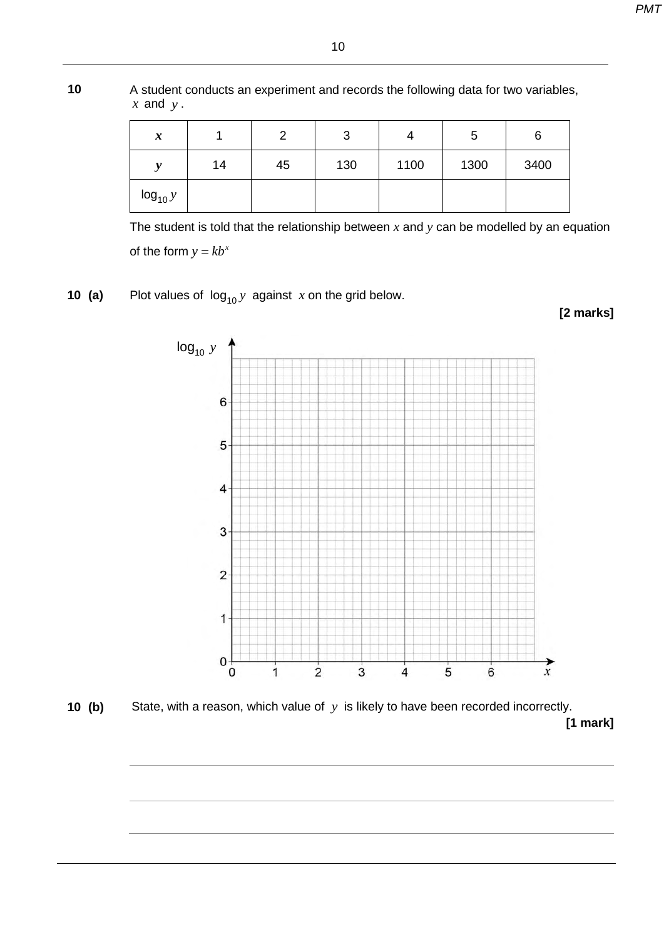**10** A student conducts an experiment and records the following data for two variables, *x* and *y* .

10

| $\boldsymbol{x}$ |    | ◠  | າ<br>◡ |      | G    | 6    |
|------------------|----|----|--------|------|------|------|
| <b>A</b>         | 14 | 45 | 130    | 1100 | 1300 | 3400 |
| $log_{10} y$     |    |    |        |      |      |      |

The student is told that the relationship between *x* and *y* can be modelled by an equation of the form  $y = kb^x$ 

**10 (a)** Plot values of  $log_{10} y$  against *x* on the grid below.



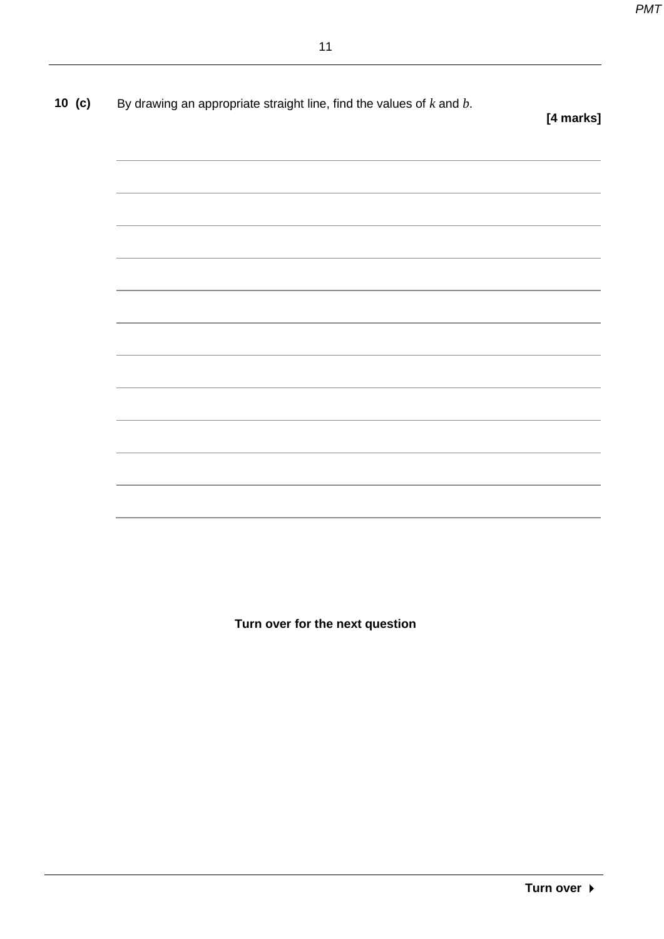| 10 $(c)$ | By drawing an appropriate straight line, find the values of $k$ and $b$ . |
|----------|---------------------------------------------------------------------------|
|----------|---------------------------------------------------------------------------|

**[4 marks]**

**Turn over for the next question**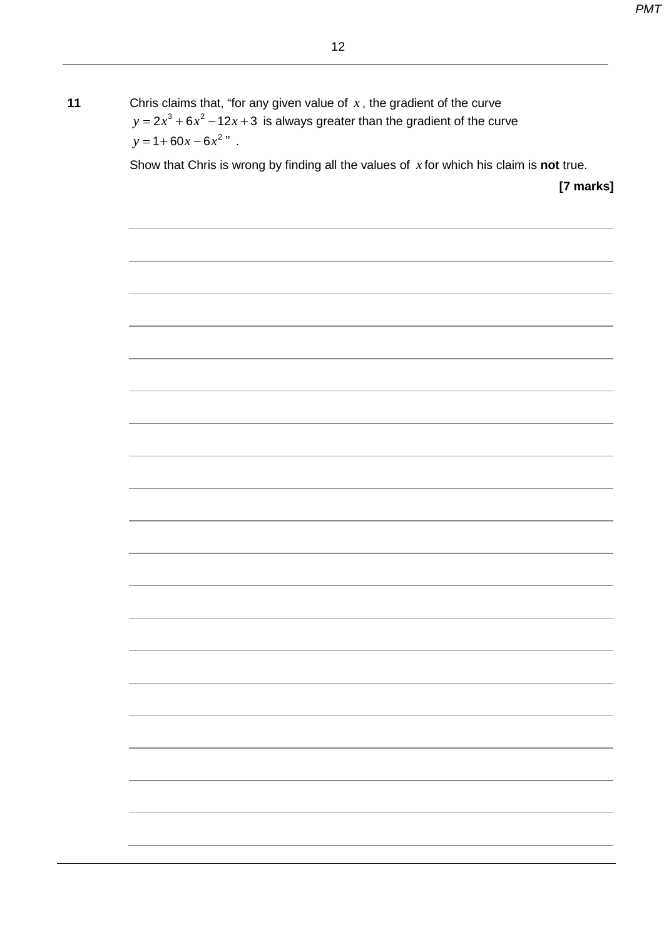**11** Chris claims that, "for any given value of *x* , the gradient of the curve  $y=2x^3+6x^2-12x+3$  is always greater than the gradient of the curve  $y = 1 + 60x - 6x^2$  ".

Show that Chris is wrong by finding all the values of *x* for which his claim is **not** true.

**[7 marks]**

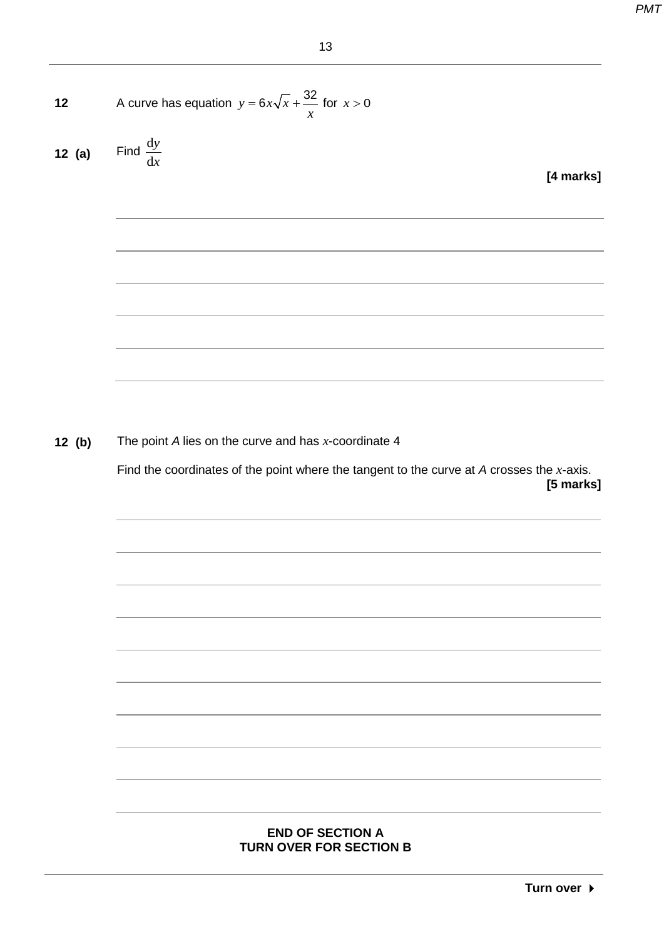12 A curve has equation 
$$
y = 6x\sqrt{x} + \frac{32}{x}
$$
 for  $x > 0$   
12 (a) Find  $\frac{dy}{dx}$ 

**[4 marks]**

**12 (b)** The point *A* lies on the curve and has *x*-coordinate 4

Find the coordinates of the point where the tangent to the curve at *A* crosses the *x*-axis. **[5 marks]**

#### **END OF SECTION A TURN OVER FOR SECTION B**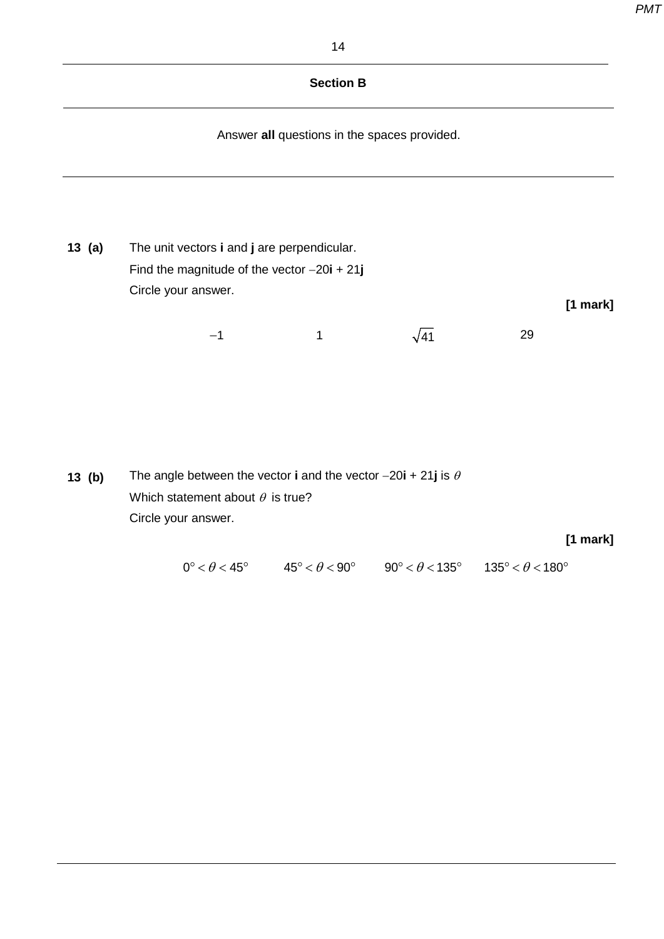#### **Section B**

Answer **all** questions in the spaces provided.

**13 (a)** The unit vectors **i** and **j** are perpendicular. Find the magnitude of the vector −20**i** + 21**j** Circle your answer. **[1 mark]**

 $-1$  1  $\sqrt{41}$  29

**13 (b)** The angle between the vector **i** and the vector −20**i** + 21**j** is <sup>θ</sup> Which statement about  $\theta$  is true? Circle your answer.

#### **[1 mark]**

 $0^{\circ} < \theta < 45^{\circ}$   $45^{\circ} < \theta < 90^{\circ}$   $90^{\circ} < \theta < 135^{\circ}$   $135^{\circ} < \theta < 180^{\circ}$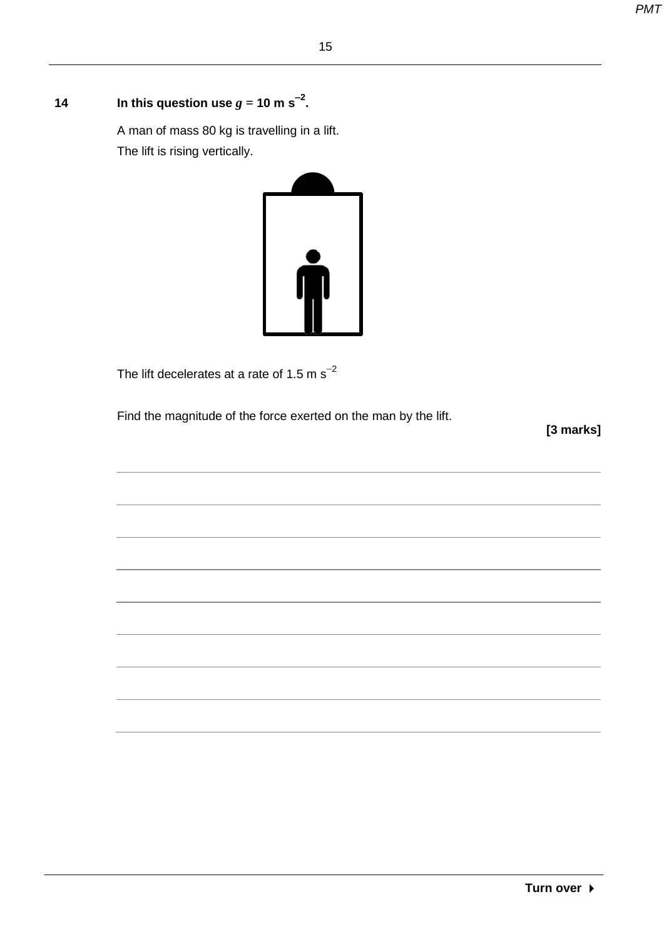### **14** In this question use  $g = 10 \text{ m s}^{-2}$ .

A man of mass 80 kg is travelling in a lift. The lift is rising vertically.



The lift decelerates at a rate of 1.5 m  $\text{s}^{-2}$ 

Find the magnitude of the force exerted on the man by the lift.

**[3 marks]**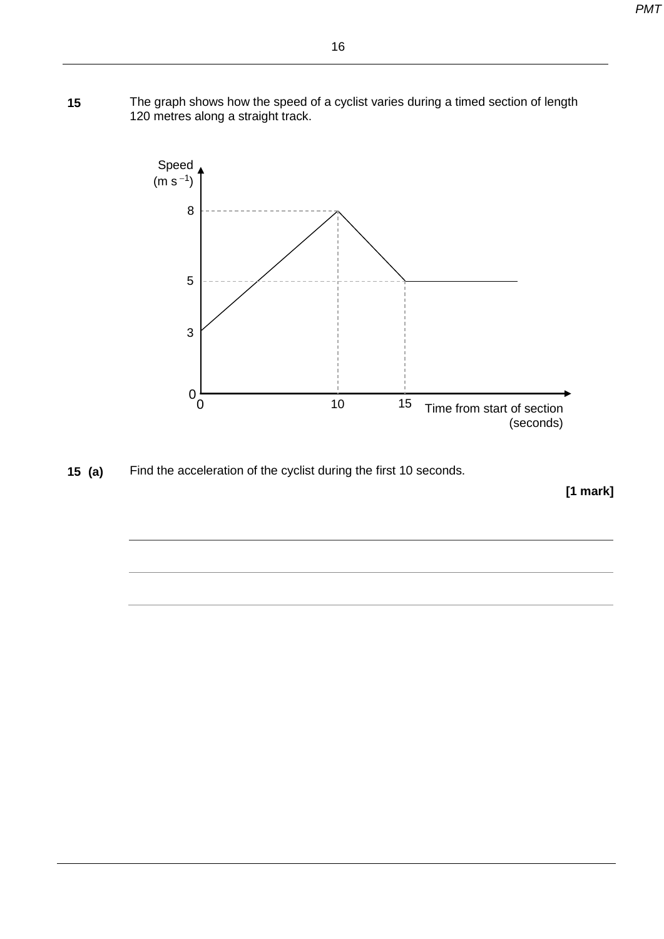**15** The graph shows how the speed of a cyclist varies during a timed section of length 120 metres along a straight track.



**15 (a)** Find the acceleration of the cyclist during the first 10 seconds.

**[1 mark]**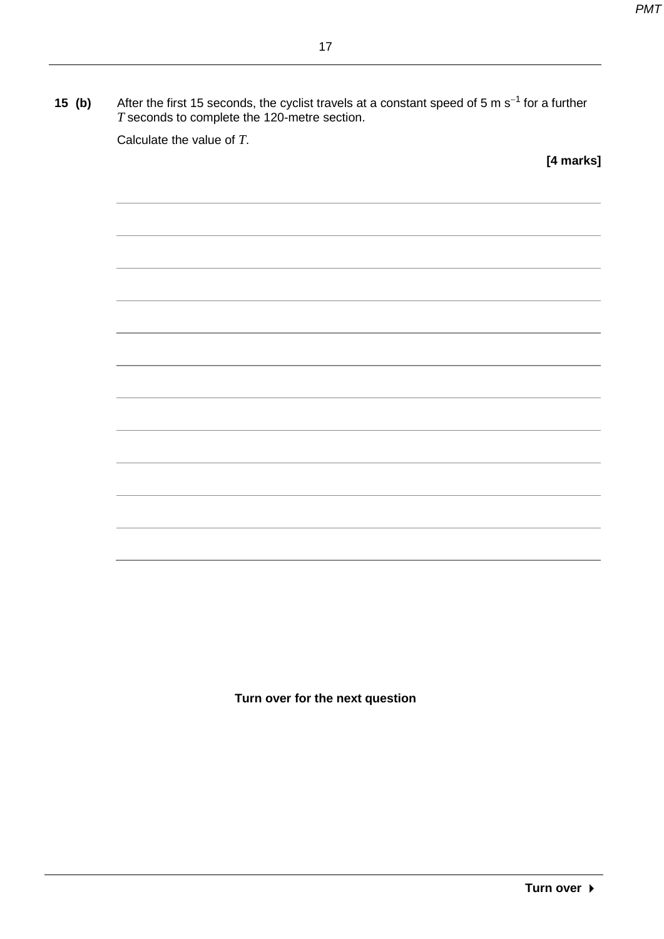| 15 (b) | After the first 15 seconds, the cyclist travels at a constant speed of 5 m s <sup>-1</sup> for a further |
|--------|----------------------------------------------------------------------------------------------------------|
|        | T seconds to complete the 120-metre section.                                                             |

Calculate the value of *T*.

**[4 marks]**

**Turn over for the next question**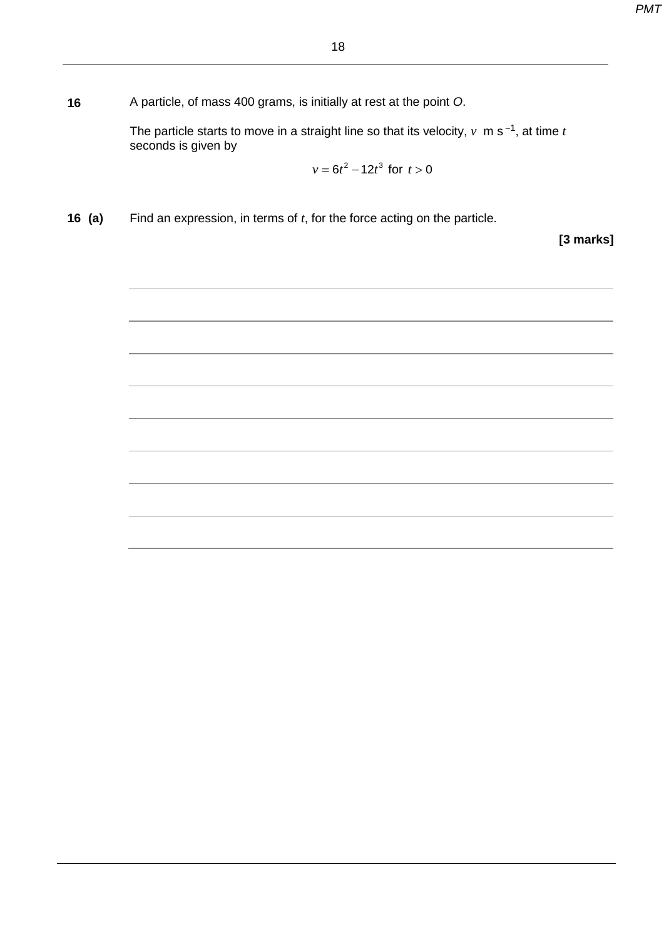**16** A particle, of mass 400 grams, is initially at rest at the point *O*.

The particle starts to move in a straight line so that its velocity,  $v \text{ m s}^{-1}$ , at time *t* seconds is given by

$$
v = 6t^2 - 12t^3 \text{ for } t > 0
$$

**16 (a)** Find an expression, in terms of *t*, for the force acting on the particle.

**[3 marks]**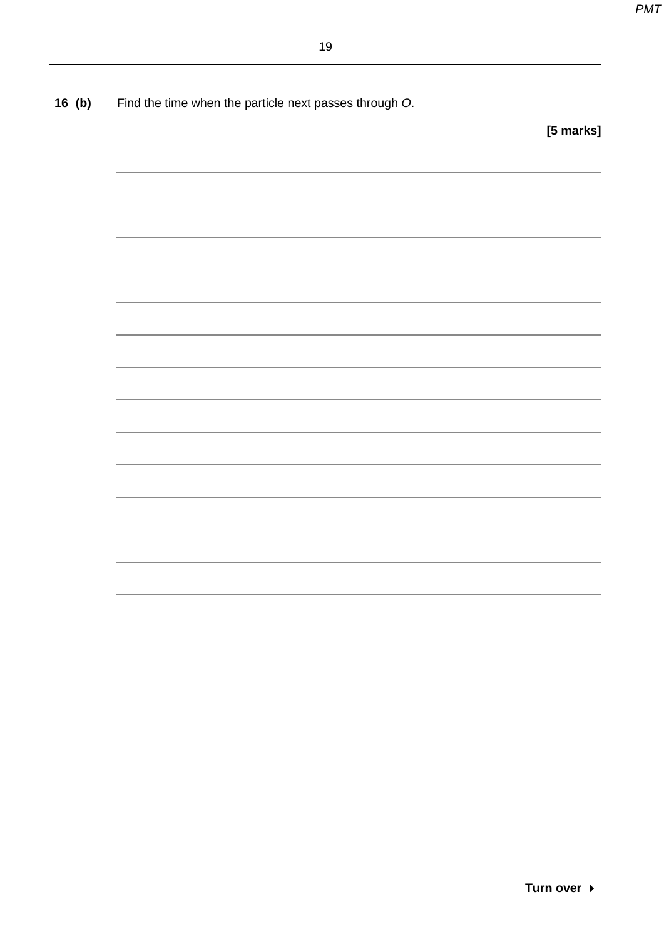**16 (b)** Find the time when the particle next passes through *O*.

**[5 marks]**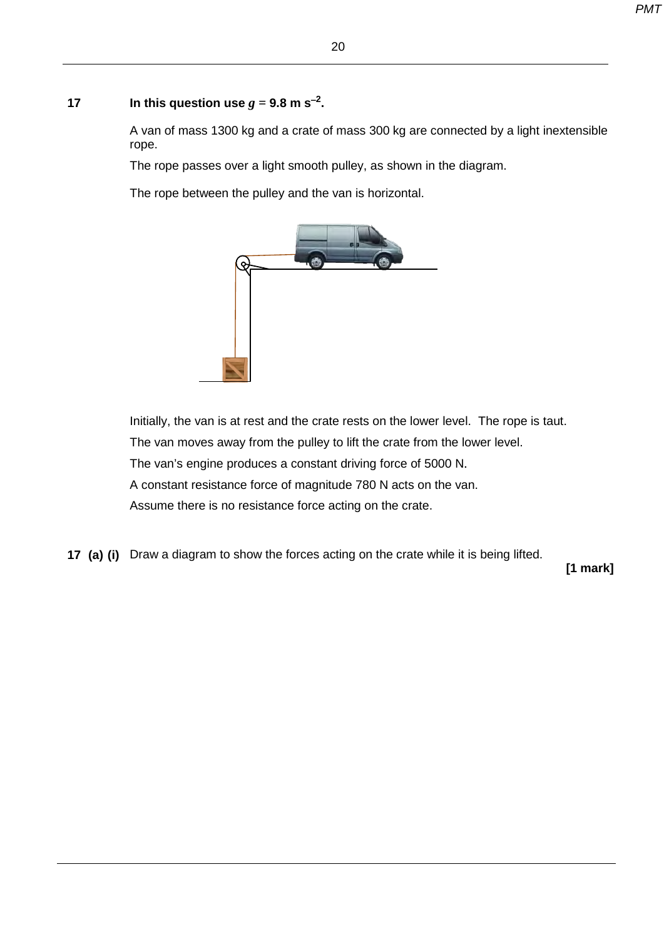#### **17 In this question use**  $g = 9.8$  **m s<sup>−2</sup>.**

A van of mass 1300 kg and a crate of mass 300 kg are connected by a light inextensible rope.

The rope passes over a light smooth pulley, as shown in the diagram.

The rope between the pulley and the van is horizontal.



Initially, the van is at rest and the crate rests on the lower level. The rope is taut. The van moves away from the pulley to lift the crate from the lower level. The van's engine produces a constant driving force of 5000 N. A constant resistance force of magnitude 780 N acts on the van. Assume there is no resistance force acting on the crate.

**17 (a) (i)** Draw a diagram to show the forces acting on the crate while it is being lifted.

 **[1 mark]**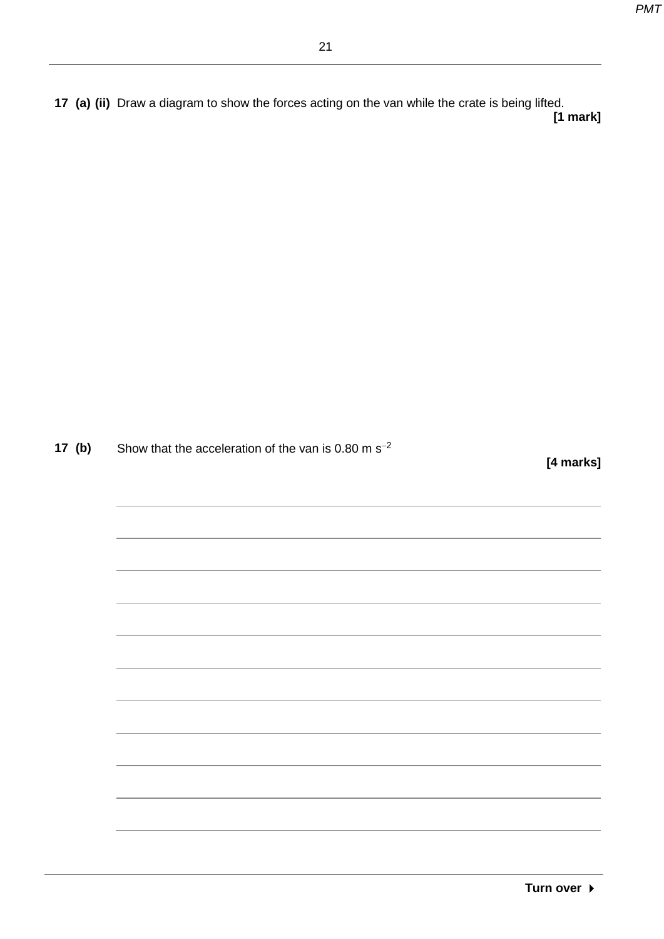**17 (a) (ii)** Draw a diagram to show the forces acting on the van while the crate is being lifted.  **[1 mark]**

**17 <b>(b)** Show that the acceleration of the van is 0.80 m s<sup>−2</sup>

 **[4 marks]**